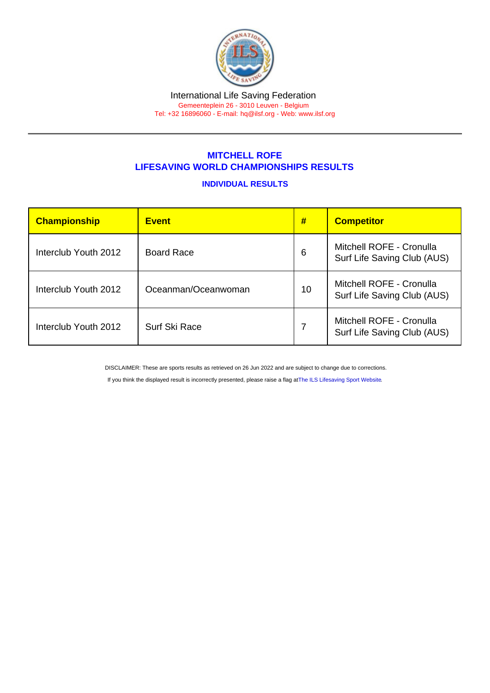## MITCHELL ROFE LIFESAVING WORLD CHAMPIONSHIPS RESULTS

## INDIVIDUAL RESULTS

| Championship         | <b>Event</b>        | #  | <b>Competitor</b>                                       |
|----------------------|---------------------|----|---------------------------------------------------------|
| Interclub Youth 2012 | <b>Board Race</b>   | 6  | Mitchell ROFE - Cronulla<br>Surf Life Saving Club (AUS) |
| Interclub Youth 2012 | Oceanman/Oceanwoman | 10 | Mitchell ROFE - Cronulla<br>Surf Life Saving Club (AUS) |
| Interclub Youth 2012 | Surf Ski Race       |    | Mitchell ROFE - Cronulla<br>Surf Life Saving Club (AUS) |

DISCLAIMER: These are sports results as retrieved on 26 Jun 2022 and are subject to change due to corrections.

If you think the displayed result is incorrectly presented, please raise a flag at [The ILS Lifesaving Sport Website.](https://sport.ilsf.org)